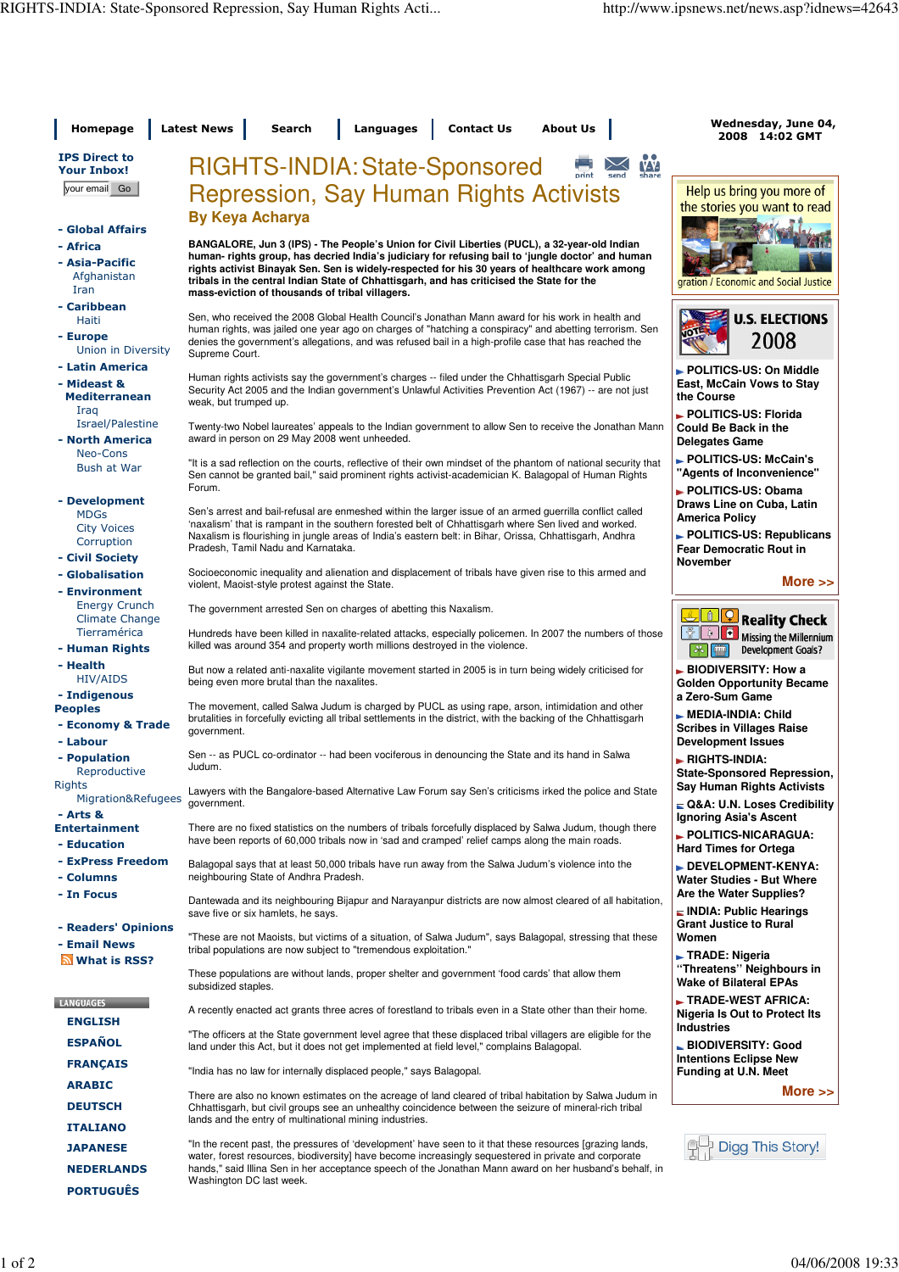| Homepage                                               | <b>Latest News</b><br><b>Contact Us</b><br><b>Search</b><br>Languages<br><b>About Us</b>                                                                                                                                                                                                                                                                          | Wednesday, June 04,<br>2008 14:02 GMT                                                                |
|--------------------------------------------------------|-------------------------------------------------------------------------------------------------------------------------------------------------------------------------------------------------------------------------------------------------------------------------------------------------------------------------------------------------------------------|------------------------------------------------------------------------------------------------------|
| <b>IPS Direct to</b><br><b>Your Inbox!</b>             | <b>RIGHTS-INDIA: State-Sponsored</b><br><b>VV</b>                                                                                                                                                                                                                                                                                                                 |                                                                                                      |
| your email Go                                          | <b>Repression, Say Human Rights Activists</b>                                                                                                                                                                                                                                                                                                                     | Help us bring you more of<br>the stories you want to read                                            |
| - Global Affairs<br>- Africa<br>- Asia-Pacific         | <b>By Keya Acharya</b><br>BANGALORE, Jun 3 (IPS) - The People's Union for Civil Liberties (PUCL), a 32-year-old Indian<br>human- rights group, has decried India's judiciary for refusing bail to 'jungle doctor' and human<br>rights activist Binayak Sen. Sen is widely-respected for his 30 years of healthcare work among                                     |                                                                                                      |
| Afghanistan<br>Iran                                    | tribals in the central Indian State of Chhattisgarh, and has criticised the State for the<br>mass-eviction of thousands of tribal villagers.                                                                                                                                                                                                                      | gration / Economic and Social Justice                                                                |
| - Caribbean<br>Haiti                                   | Sen, who received the 2008 Global Health Council's Jonathan Mann award for his work in health and                                                                                                                                                                                                                                                                 | <b>U.S. ELECTIONS</b>                                                                                |
| - Europe<br>Union in Diversity                         | human rights, was jailed one year ago on charges of "hatching a conspiracy" and abetting terrorism. Sen<br>denies the government's allegations, and was refused bail in a high-profile case that has reached the<br>Supreme Court.                                                                                                                                | 2008                                                                                                 |
| - Latin America<br>- Mideast &<br><b>Mediterranean</b> | Human rights activists say the government's charges -- filed under the Chhattisgarh Special Public<br>Security Act 2005 and the Indian government's Unlawful Activities Prevention Act (1967) -- are not just<br>weak, but trumped up.                                                                                                                            | ► POLITICS-US: On Middle<br>East, McCain Vows to Stay<br>the Course                                  |
| Iraq<br>Israel/Palestine<br>- North America            | Twenty-two Nobel laureates' appeals to the Indian government to allow Sen to receive the Jonathan Mann<br>award in person on 29 May 2008 went unheeded.                                                                                                                                                                                                           | POLITICS-US: Florida<br>Could Be Back in the<br><b>Delegates Game</b>                                |
| Neo-Cons<br><b>Bush at War</b>                         | "It is a sad reflection on the courts, reflective of their own mindset of the phantom of national security that<br>Sen cannot be granted bail," said prominent rights activist-academician K. Balagopal of Human Rights                                                                                                                                           | POLITICS-US: McCain's<br>"Agents of Inconvenience"                                                   |
| - Development                                          | Forum.                                                                                                                                                                                                                                                                                                                                                            | POLITICS-US: Obama<br>Draws Line on Cuba, Latin                                                      |
| <b>MDGs</b><br><b>City Voices</b><br>Corruption        | Sen's arrest and bail-refusal are enmeshed within the larger issue of an armed guerrilla conflict called<br>'naxalism' that is rampant in the southern forested belt of Chhattisgarh where Sen lived and worked.<br>Naxalism is flourishing in jungle areas of India's eastern belt: in Bihar, Orissa, Chhattisgarh, Andhra<br>Pradesh, Tamil Nadu and Karnataka. | <b>America Policy</b><br>POLITICS-US: Republicans<br><b>Fear Democratic Rout in</b>                  |
| - Civil Society                                        |                                                                                                                                                                                                                                                                                                                                                                   | <b>November</b>                                                                                      |
| - Globalisation<br>- Environment                       | Socioeconomic inequality and alienation and displacement of tribals have given rise to this armed and<br>violent, Maoist-style protest against the State.                                                                                                                                                                                                         | More $\gt$                                                                                           |
| <b>Energy Crunch</b><br>Climate Change                 | The government arrested Sen on charges of abetting this Naxalism.                                                                                                                                                                                                                                                                                                 | <b>Reality Check</b>                                                                                 |
| Tierramérica<br>- Human Rights                         | Hundreds have been killed in naxalite-related attacks, especially policemen. In 2007 the numbers of those<br>killed was around 354 and property worth millions destroyed in the violence.                                                                                                                                                                         | п<br>$\triangleright$ 1<br>Missing the Millennium<br>品<br><b>Development Goals?</b>                  |
| - Health<br><b>HIV/AIDS</b><br>- Indigenous            | But now a related anti-naxalite vigilante movement started in 2005 is in turn being widely criticised for<br>being even more brutal than the naxalites.                                                                                                                                                                                                           | BIODIVERSITY: How a<br><b>Golden Opportunity Became</b><br>a Zero-Sum Game                           |
| <b>Peoples</b><br>- Economy & Trade                    | The movement, called Salwa Judum is charged by PUCL as using rape, arson, intimidation and other<br>brutalities in forcefully evicting all tribal settlements in the district, with the backing of the Chhattisgarh<br>government.                                                                                                                                | $\blacktriangleright$ MEDIA-INDIA: Child<br><b>Scribes in Villages Raise</b>                         |
| - Labour                                               |                                                                                                                                                                                                                                                                                                                                                                   | <b>Development Issues</b>                                                                            |
| - Population<br>Reproductive<br><b>Rights</b>          | Sen -- as PUCL co-ordinator -- had been vociferous in denouncing the State and its hand in Salwa<br>Judum.                                                                                                                                                                                                                                                        | ► RIGHTS-INDIA:<br><b>State-Sponsored Repression,</b><br><b>Say Human Rights Activists</b>           |
| Migration&Refugees<br>- Arts &                         | Lawyers with the Bangalore-based Alternative Law Forum say Sen's criticisms irked the police and State<br>government.                                                                                                                                                                                                                                             | ⊑ Q&A: U.N. Loses Credibility<br>Ignoring Asia's Ascent                                              |
| <b>Entertainment</b><br>- Education                    | There are no fixed statistics on the numbers of tribals forcefully displaced by Salwa Judum, though there<br>have been reports of 60,000 tribals now in 'sad and cramped' relief camps along the main roads.                                                                                                                                                      | ► POLITICS-NICARAGUA:<br><b>Hard Times for Ortega</b>                                                |
| - ExPress Freedom                                      | Balagopal says that at least 50,000 tribals have run away from the Salwa Judum's violence into the<br>neighbouring State of Andhra Pradesh.                                                                                                                                                                                                                       | DEVELOPMENT-KENYA:                                                                                   |
| - Columns<br>- In Focus                                | Dantewada and its neighbouring Bijapur and Narayanpur districts are now almost cleared of all habitation,<br>save five or six hamlets, he says.                                                                                                                                                                                                                   | <b>Water Studies - But Where</b><br>Are the Water Supplies?<br>$\blacksquare$ INDIA: Public Hearings |
| - Readers' Opinions                                    | "These are not Maoists, but victims of a situation, of Salwa Judum", says Balagopal, stressing that these                                                                                                                                                                                                                                                         | <b>Grant Justice to Rural</b><br>Women                                                               |
| - Email News<br>What is RSS?                           | tribal populations are now subject to "tremendous exploitation."                                                                                                                                                                                                                                                                                                  | ► TRADE: Nigeria                                                                                     |
|                                                        | These populations are without lands, proper shelter and government 'food cards' that allow them<br>subsidized staples.                                                                                                                                                                                                                                            | "Threatens" Neighbours in<br><b>Wake of Bilateral EPAs</b>                                           |
| <b>LANGUAGES</b><br><b>ENGLISH</b>                     | A recently enacted act grants three acres of forestland to tribals even in a State other than their home.                                                                                                                                                                                                                                                         | TRADE-WEST AFRICA:<br>Nigeria Is Out to Protect Its                                                  |
| <b>ESPAÑOL</b>                                         | "The officers at the State government level agree that these displaced tribal villagers are eligible for the<br>land under this Act, but it does not get implemented at field level," complains Balagopal.                                                                                                                                                        | <b>Industries</b><br>BIODIVERSITY: Good                                                              |
| <b>FRANÇAIS</b>                                        | "India has no law for internally displaced people," says Balagopal.                                                                                                                                                                                                                                                                                               | <b>Intentions Eclipse New</b><br>Funding at U.N. Meet                                                |
| <b>ARABIC</b>                                          | There are also no known estimates on the acreage of land cleared of tribal habitation by Salwa Judum in                                                                                                                                                                                                                                                           | More $\gg$                                                                                           |
| <b>DEUTSCH</b>                                         | Chhattisgarh, but civil groups see an unhealthy coincidence between the seizure of mineral-rich tribal<br>lands and the entry of multinational mining industries.                                                                                                                                                                                                 |                                                                                                      |
| <b>ITALIANO</b>                                        | "In the recent past, the pressures of 'development' have seen to it that these resources [grazing lands,                                                                                                                                                                                                                                                          |                                                                                                      |
| <b>JAPANESE</b>                                        | water, forest resources, biodiversity] have become increasingly sequestered in private and corporate                                                                                                                                                                                                                                                              | Digg This Story!                                                                                     |
| <b>NEDERLANDS</b><br><b>PORTUGUÊS</b>                  | hands," said Illina Sen in her acceptance speech of the Jonathan Mann award on her husband's behalf, in<br>Washington DC last week.                                                                                                                                                                                                                               |                                                                                                      |
|                                                        |                                                                                                                                                                                                                                                                                                                                                                   |                                                                                                      |